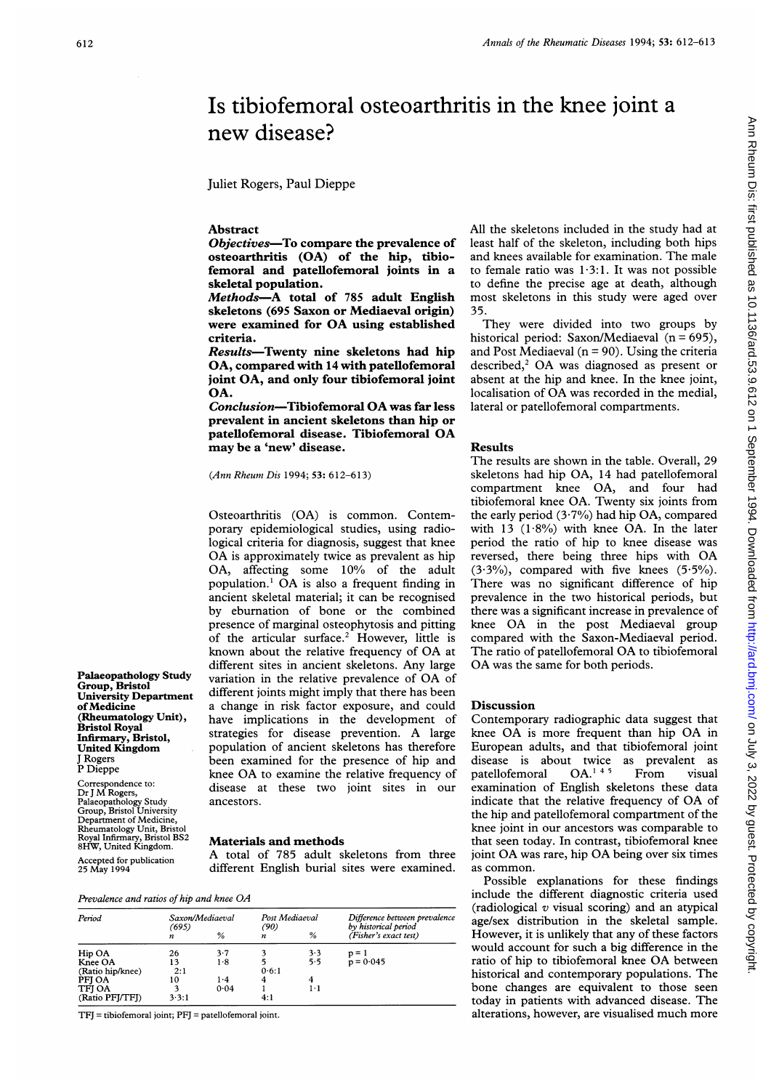# Ann Rheum Dis: first published as 10.1136/ard.53.9.612 on 1 September 1994. Downloaded from http://ard.bmj.com/ on July 3, 2022 by guest. Protected by copyright Ann Pheum Dis: first published as 10.1136/ard.53.9.612 on 1 September 1994. Downloaded from puplished from Dis: first published as 10.1136/ard.53.9.9.12.9.12.9.7.2.9.9.12.9.7.2.022 by distri

# Is tibiofemoral osteoarthritis in the knee joint a new disease?

Juliet Rogers, Paul Dieppe

## Abstract

Objectives-To compare the prevalence of osteoarthritis (OA) of the hip, tibiofemoral and patellofemoral joints in a skeletal population.

Methods-A total of 785 adult English skeletons (695 Saxon or Mediaeval origin) were examined for OA using established criteria.

Results-Twenty nine skeletons had hip OA, compared with 14 with patellofemoral joint OA, and only four tibiofemoral joint OA.

Conclusion-Tibiofemoral OA was far less prevalent in ancient skeletons than hip or patellofemoral disease. Tibiofemoral OA may be a 'new' disease.

(Ann Rheum Dis 1994; 53: 612-613)

Osteoarthritis (OA) is common. Contemporary epidemiological studies, using radiological criteria for diagnosis, suggest that knee OA is approximately twice as prevalent as hip OA, affecting some 10% of the adult population.' OA is also <sup>a</sup> frequent finding in ancient skeletal material; it can be recognised by eburnation of bone or the combined presence of marginal osteophytosis and pitting of the articular surface.<sup>2</sup> However, little is known about the relative frequency of OA at different sites in ancient skeletons. Any large **Palaeopathology Study**<br>
variation in the relative prevalence of OA of<br>
different joints might imply that there has been University Department<br>
University Department<br>
of Medicine a change in risk factor exposure, and could of Medicine<br>
a change in risk factor exposure, and could<br>
(Rheumatology Unit), have implications in the development of have implications in the development of strategies for disease prevention. A large United Kingdom population of ancient skeletons has therefore<br>I Rogers been examined for the presence of hip and J Rogers been examined for the presence of hip and<br>P Dieppe knee OA to examine the relative frequency of disease at these two joint sites in our Palaeopathology Study ancestors. Group, Bristol University

# Royal Infirmary, Bristol BS2 **Materials and methods**<br>8HW, United Kingdom. **Materials and methods**

Royal Infirmary, Bristol BS2<br>
8HW, United Kingdom. A total of 785 adult skeletons from three<br>
Accepted for publication A total of 785 adult skeletons from three<br>
25 May 1994 different English burial sites were examined. different English burial sites were examined.

Bristol Royal<br>Infirmary, Bristol,<br>United Kingdom

Correspondence to:<br>Dr J M Rogers,

Department of Medicine, Rheumatology Unit, Bristol

| Period           | Saxon/Mediaeval |      | Post Mediaeval |     | Difference between prevalence<br>by historical period |
|------------------|-----------------|------|----------------|-----|-------------------------------------------------------|
|                  | (695)<br>n      | %    | (90)<br>n      | %   | (Fisher's exact test)                                 |
| Hip OA           | 26              | 3.7  |                | 3.3 | $p = 1$                                               |
| Knee OA          | 13              | 1.8  |                | 5.5 | $p = 0.045$                                           |
| (Ratio hip/knee) | 2:1             |      | 0.6:1          |     |                                                       |
| PFI OA           | 10              | 1.4  | 4              | 4   |                                                       |
| <b>TFI OA</b>    |                 | 0.04 |                | 1.1 |                                                       |
| (Ratio PFJ/TFJ)  | 3.3:1           |      | 4:1            |     |                                                       |

TFJ = tibiofemoral joint; PFJ = patellofemoral joint.

All the skeletons included in the study had at least half of the skeleton, including both hips and knees available for examination. The male to female ratio was 1-3:1. It was not possible to define the precise age at death, although most skeletons in this study were aged over 35.

They were divided into two groups by historical period: Saxon/Mediaeval  $(n = 695)$ , and Post Mediaeval ( $n = 90$ ). Using the criteria described, $2$  OA was diagnosed as present or absent at the hip and knee. In the knee joint, localisation of OA was recorded in the medial, lateral or patellofemoral compartments.

### Results

The results are shown in the table. Overall, 29 skeletons had hip OA, 14 had patellofemoral compartment knee OA, and four had tibiofemoral knee OA. Twenty six joints from the early period  $(3.7%)$  had hip OA, compared with 13  $(1.8\%)$  with knee OA. In the later period the ratio of hip to knee disease was reversed, there being three hips with OA  $(3.3\%)$ , compared with five knees  $(5.5\%)$ . There was no significant difference of hip prevalence in the two historical periods, but there was a significant increase in prevalence of knee OA in the post Mediaeval group compared with the Saxon-Mediaeval period. The ratio of patellofemoral OA to tibiofemoral OA was the same for both periods.

# Discussion

Contemporary radiographic data suggest that knee OA is more frequent than hip OA in European adults, and that tibiofemoral joint disease is about twice as prevalent as<br>patellofemoral  $OA.^{14.5}$  From visual patellofemoral OA.<sup>145</sup> From visual examination of English skeletons these data indicate that the relative frequency of OA of the hip and patellofemoral compartment of the knee joint in our ancestors was comparable to that seen today. In contrast, tibiofemoral knee joint OA was rare, hip OA being over six times as common.

Possible explanations for these findings include the different diagnostic criteria used (radiological  $v$  visual scoring) and an atypical age/sex distribution in the skeletal sample. However, it is unlikely that any of these factors would account for such a big difference in the ratio of hip to tibiofemoral knee OA between historical and contemporary populations. The bone changes are equivalent to those seen today in patients with advanced disease. The alterations, however, are visualised much more